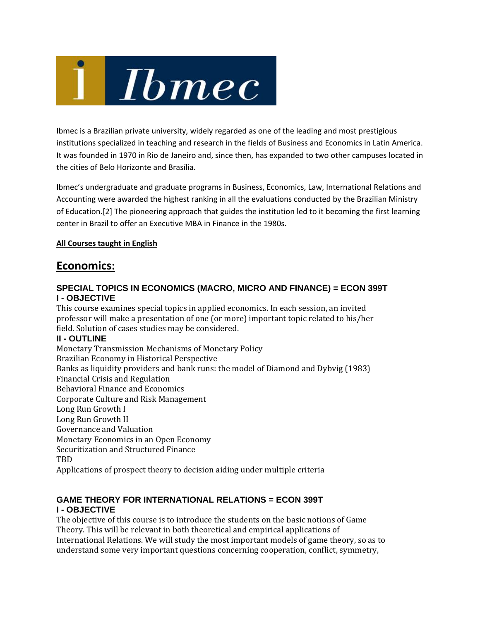

Ibmec is a Brazilian private university, widely regarded as one of the leading and most prestigious institutions specialized in teaching and research in the fields of Business and Economics in Latin America. It was founded in 1970 in Rio de Janeiro and, since then, has expanded to two other campuses located in the cities of Belo Horizonte and Brasília.

Ibmec's undergraduate and graduate programs in Business, Economics, Law, International Relations and Accounting were awarded the highest ranking in all the evaluations conducted by the Brazilian Ministry of Education.[2] The pioneering approach that guides the institution led to it becoming the first learning center in Brazil to offer an Executive MBA in Finance in the 1980s.

#### **All Courses taught in English**

### **Economics:**

#### **SPECIAL TOPICS IN ECONOMICS (MACRO, MICRO AND FINANCE) = ECON 399T I - OBJECTIVE**

This course examines special topics in applied economics. In each session, an invited professor will make a presentation of one (or more) important topic related to his/her field. Solution of cases studies may be considered.

#### **II - OUTLINE**

Monetary Transmission Mechanisms of Monetary Policy Brazilian Economy in Historical Perspective Banks as liquidity providers and bank runs: the model of Diamond and Dybvig (1983) Financial Crisis and Regulation Behavioral Finance and Economics Corporate Culture and Risk Management Long Run Growth I Long Run Growth II Governance and Valuation Monetary Economics in an Open Economy Securitization and Structured Finance TBD Applications of prospect theory to decision aiding under multiple criteria

#### **GAME THEORY FOR INTERNATIONAL RELATIONS = ECON 399T I - OBJECTIVE**

The objective of this course is to introduce the students on the basic notions of Game Theory. This will be relevant in both theoretical and empirical applications of International Relations. We will study the most important models of game theory, so as to understand some very important questions concerning cooperation, conflict, symmetry,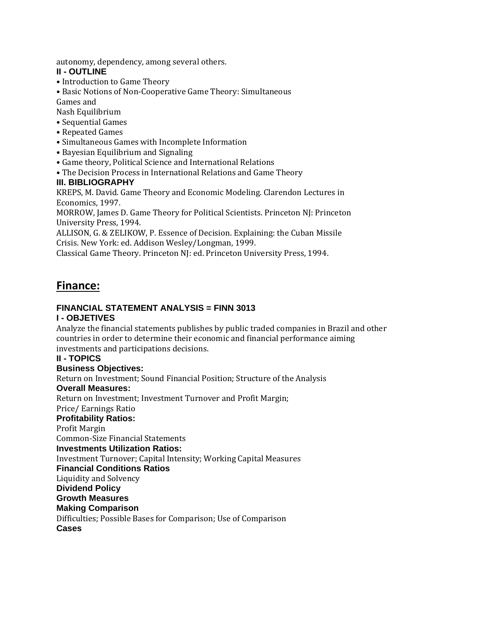autonomy, dependency, among several others.

#### **II - OUTLINE**

- Introduction to Game Theory
- Basic Notions of Non-Cooperative Game Theory: Simultaneous Games and

Nash Equilibrium 

- Sequential Games
- Repeated Games
- Simultaneous Games with Incomplete Information
- Bayesian Equilibrium and Signaling
- Game theory, Political Science and International Relations
- The Decision Process in International Relations and Game Theory

#### **III. BIBLIOGRAPHY**

KREPS, M. David. Game Theory and Economic Modeling. Clarendon Lectures in Economics, 1997.

MORROW, James D. Game Theory for Political Scientists. Princeton NJ: Princeton University Press, 1994.

ALLISON, G. & ZELIKOW, P. Essence of Decision. Explaining: the Cuban Missile Crisis. New York: ed. Addison Wesley/Longman, 1999. 

Classical Game Theory. Princeton NJ: ed. Princeton University Press, 1994.

## **Finance:**

## **FINANCIAL STATEMENT ANALYSIS = FINN 3013**

#### **I - OBJETIVES**

Analyze the financial statements publishes by public traded companies in Brazil and other countries in order to determine their economic and financial performance aiming investments and participations decisions.

#### **II - TOPICS**

#### **Business Objectives:**

Return on Investment; Sound Financial Position; Structure of the Analysis

#### **Overall Measures:**

Return on Investment; Investment Turnover and Profit Margin;

Price/ Earnings Ratio 

#### **Profitability Ratios:**

Profit Margin

Common‐Size Financial Statements 

#### **Investments Utilization Ratios:**

Investment Turnover; Capital Intensity; Working Capital Measures

**Financial Conditions Ratios** 

Liquidity and Solvency

### **Dividend Policy**

### **Growth Measures**

## **Making Comparison**

Difficulties; Possible Bases for Comparison; Use of Comparison **Cases**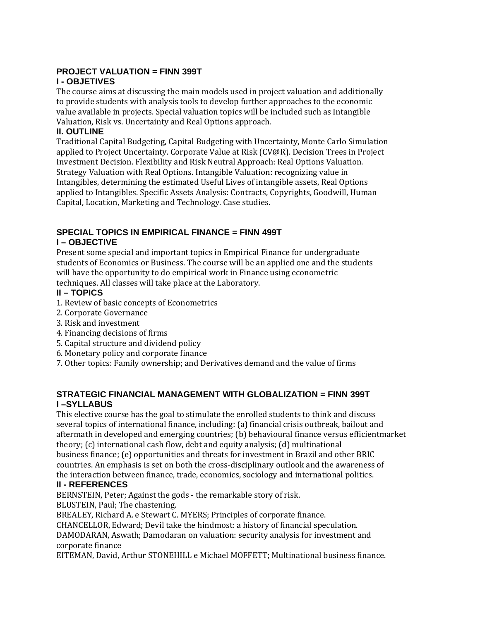## **PROJECT VALUATION = FINN 399T**

#### **I - OBJETIVES**

The course aims at discussing the main models used in project valuation and additionally to provide students with analysis tools to develop further approaches to the economic value available in projects. Special valuation topics will be included such as Intangible Valuation, Risk vs. Uncertainty and Real Options approach.

#### **II. OUTLINE**

Traditional Capital Budgeting, Capital Budgeting with Uncertainty, Monte Carlo Simulation applied to Project Uncertainty. Corporate Value at Risk (CV@R). Decision Trees in Project Investment Decision. Flexibility and Risk Neutral Approach: Real Options Valuation. Strategy Valuation with Real Options. Intangible Valuation: recognizing value in Intangibles, determining the estimated Useful Lives of intangible assets, Real Options applied to Intangibles. Specific Assets Analysis: Contracts, Copyrights, Goodwill, Human Capital, Location, Marketing and Technology. Case studies.

## **SPECIAL TOPICS IN EMPIRICAL FINANCE = FINN 499T**

#### **I – OBJECTIVE**

Present some special and important topics in Empirical Finance for undergraduate students of Economics or Business. The course will be an applied one and the students will have the opportunity to do empirical work in Finance using econometric techniques. All classes will take place at the Laboratory.

#### **II – TOPICS**

- 1. Review of basic concepts of Econometrics
- 2. Corporate Governance
- 3. Risk and investment
- 4. Financing decisions of firms
- 5. Capital structure and dividend policy
- 6. Monetary policy and corporate finance
- 7. Other topics: Family ownership; and Derivatives demand and the value of firms

#### **STRATEGIC FINANCIAL MANAGEMENT WITH GLOBALIZATION = FINN 399T I –SYLLABUS**

This elective course has the goal to stimulate the enrolled students to think and discuss several topics of international finance, including: (a) financial crisis outbreak, bailout and aftermath in developed and emerging countries; (b) behavioural finance versus efficientmarket theory;  $(c)$  international cash flow, debt and equity analysis;  $(d)$  multinational business finance; (e) opportunities and threats for investment in Brazil and other BRIC countries. An emphasis is set on both the cross-disciplinary outlook and the awareness of the interaction between finance, trade, economics, sociology and international politics.

#### **II - REFERENCES**

BERNSTEIN, Peter; Against the gods - the remarkable story of risk. BLUSTEIN, Paul; The chastening.

BREALEY, Richard A. e Stewart C. MYERS; Principles of corporate finance.

CHANCELLOR, Edward; Devil take the hindmost: a history of financial speculation.

DAMODARAN, Aswath; Damodaran on valuation: security analysis for investment and corporate finance

EITEMAN, David, Arthur STONEHILL e Michael MOFFETT; Multinational business finance.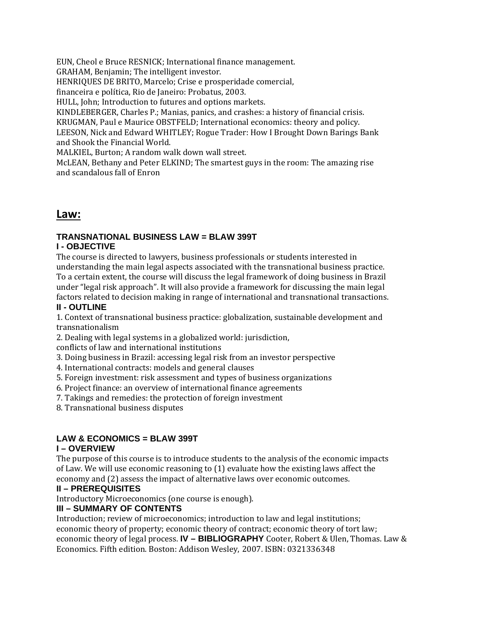EUN, Cheol e Bruce RESNICK; International finance management.

GRAHAM, Benjamin; The intelligent investor.

HENRIQUES DE BRITO, Marcelo; Crise e prosperidade comercial,

financeira e política, Rio de Janeiro: Probatus, 2003.

HULL, John; Introduction to futures and options markets.

KINDLEBERGER, Charles P.; Manias, panics, and crashes: a history of financial crisis.

KRUGMAN, Paul e Maurice OBSTFELD; International economics: theory and policy.

LEESON, Nick and Edward WHITLEY; Rogue Trader: How I Brought Down Barings Bank and Shook the Financial World.

MALKIEL, Burton; A random walk down wall street.

McLEAN, Bethany and Peter ELKIND; The smartest guys in the room: The amazing rise and scandalous fall of Enron

### **Law:**

## **TRANSNATIONAL BUSINESS LAW = BLAW 399T**

#### **I - OBJECTIVE**

The course is directed to lawyers, business professionals or students interested in understanding the main legal aspects associated with the transnational business practice. To a certain extent, the course will discuss the legal framework of doing business in Brazil under "legal risk approach". It will also provide a framework for discussing the main legal factors related to decision making in range of international and transnational transactions.

#### **II - OUTLINE**

1. Context of transnational business practice: globalization, sustainable development and transnationalism 

2. Dealing with legal systems in a globalized world: jurisdiction,

conflicts of law and international institutions

3. Doing business in Brazil: accessing legal risk from an investor perspective 

4. International contracts: models and general clauses

5. Foreign investment: risk assessment and types of business organizations

6. Project finance: an overview of international finance agreements

7. Takings and remedies: the protection of foreign investment

8. Transnational business disputes

#### **LAW & ECONOMICS = BLAW 399T**

#### **I – OVERVIEW**

The purpose of this course is to introduce students to the analysis of the economic impacts of Law. We will use economic reasoning to  $(1)$  evaluate how the existing laws affect the economy and (2) assess the impact of alternative laws over economic outcomes.

#### **II – PREREQUISITES**

Introductory Microeconomics (one course is enough).

#### **III – SUMMARY OF CONTENTS**

Introduction; review of microeconomics; introduction to law and legal institutions; economic theory of property; economic theory of contract; economic theory of tort law; economic theory of legal process. **IV - BIBLIOGRAPHY** Cooter, Robert & Ulen, Thomas. Law & Economics. Fifth edition. Boston: Addison Wesley, 2007. ISBN: 0321336348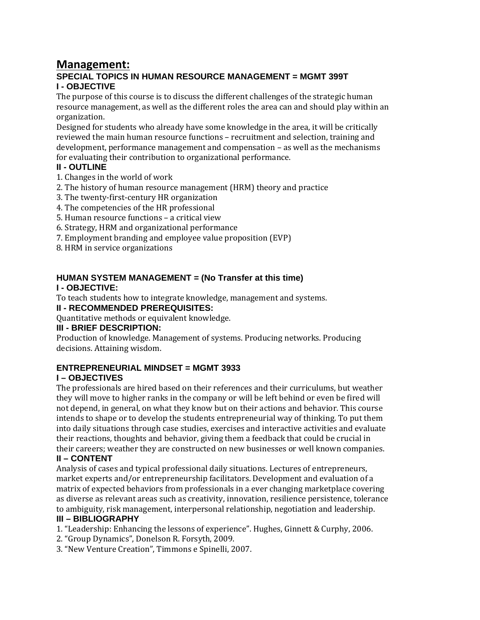## **Management:**

#### **SPECIAL TOPICS IN HUMAN RESOURCE MANAGEMENT = MGMT 399T I - OBJECTIVE**

The purpose of this course is to discuss the different challenges of the strategic human resource management, as well as the different roles the area can and should play within an organization. 

Designed for students who already have some knowledge in the area, it will be critically reviewed the main human resource functions – recruitment and selection, training and development, performance management and compensation  $-$  as well as the mechanisms for evaluating their contribution to organizational performance.

#### **II - OUTLINE**

- 1. Changes in the world of work
- 2. The history of human resource management (HRM) theory and practice
- 3. The twenty-first-century HR organization
- 4. The competencies of the HR professional
- 5. Human resource functions a critical view
- 6. Strategy, HRM and organizational performance
- 7. Employment branding and employee value proposition (EVP)
- 8. HRM in service organizations

#### **HUMAN SYSTEM MANAGEMENT = (No Transfer at this time)**

#### **I - OBJECTIVE:**

To teach students how to integrate knowledge, management and systems.

**II - RECOMMENDED PREREQUISITES:** 

Quantitative methods or equivalent knowledge.

#### **III - BRIEF DESCRIPTION:**

Production of knowledge. Management of systems. Producing networks. Producing decisions. Attaining wisdom.

#### **ENTREPRENEURIAL MINDSET = MGMT 3933**

#### **I – OBJECTIVES**

The professionals are hired based on their references and their curriculums, but weather they will move to higher ranks in the company or will be left behind or even be fired will not depend, in general, on what they know but on their actions and behavior. This course intends to shape or to develop the students entrepreneurial way of thinking. To put them into daily situations through case studies, exercises and interactive activities and evaluate their reactions, thoughts and behavior, giving them a feedback that could be crucial in their careers; weather they are constructed on new businesses or well known companies.

#### **II – CONTENT**

Analysis of cases and typical professional daily situations. Lectures of entrepreneurs, market experts and/or entrepreneurship facilitators. Development and evaluation of a matrix of expected behaviors from professionals in a ever changing marketplace covering as diverse as relevant areas such as creativity, innovation, resilience persistence, tolerance to ambiguity, risk management, interpersonal relationship, negotiation and leadership.

#### **III – BIBLIOGRAPHY**

- 1. "Leadership: Enhancing the lessons of experience". Hughes, Ginnett & Curphy, 2006.
- 2. "Group Dynamics", Donelson R. Forsyth, 2009.
- 3. "New Venture Creation", Timmons e Spinelli, 2007.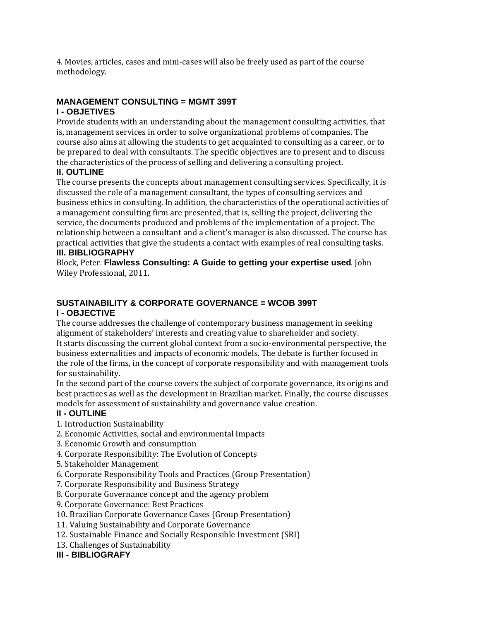4. Movies, articles, cases and mini-cases will also be freely used as part of the course methodology. 

### **MANAGEMENT CONSULTING = MGMT 399T**

#### **I - OBJETIVES**

Provide students with an understanding about the management consulting activities, that is, management services in order to solve organizational problems of companies. The course also aims at allowing the students to get acquainted to consulting as a career, or to be prepared to deal with consultants. The specific objectives are to present and to discuss the characteristics of the process of selling and delivering a consulting project.

#### **II. OUTLINE**

The course presents the concepts about management consulting services. Specifically, it is discussed the role of a management consultant, the types of consulting services and business ethics in consulting. In addition, the characteristics of the operational activities of a management consulting firm are presented, that is, selling the project, delivering the service, the documents produced and problems of the implementation of a project. The relationship between a consultant and a client's manager is also discussed. The course has practical activities that give the students a contact with examples of real consulting tasks.

#### **III. BIBLIOGRAPHY**

Block, Peter. Flawless Consulting: A Guide to getting your expertise used. John Wiley Professional, 2011.

## **SUSTAINABILITY & CORPORATE GOVERNANCE = WCOB 399T**

#### **I - OBJECTIVE**

The course addresses the challenge of contemporary business management in seeking alignment of stakeholders' interests and creating value to shareholder and society. It starts discussing the current global context from a socio-environmental perspective, the business externalities and impacts of economic models. The debate is further focused in the role of the firms, in the concept of corporate responsibility and with management tools for sustainability.

In the second part of the course covers the subject of corporate governance, its origins and best practices as well as the development in Brazilian market. Finally, the course discusses models for assessment of sustainability and governance value creation.

#### **II - OUTLINE**

- 1. Introduction Sustainability
- 2. Economic Activities, social and environmental Impacts
- 3. Economic Growth and consumption
- 4. Corporate Responsibility: The Evolution of Concepts
- 5. Stakeholder Management
- 6. Corporate Responsibility Tools and Practices (Group Presentation)
- 7. Corporate Responsibility and Business Strategy
- 8. Corporate Governance concept and the agency problem
- 9. Corporate Governance: Best Practices
- 10. Brazilian Corporate Governance Cases (Group Presentation)
- 11. Valuing Sustainability and Corporate Governance
- 12. Sustainable Finance and Socially Responsible Investment (SRI)
- 13. Challenges of Sustainability

#### **III - BIBLIOGRAFY**